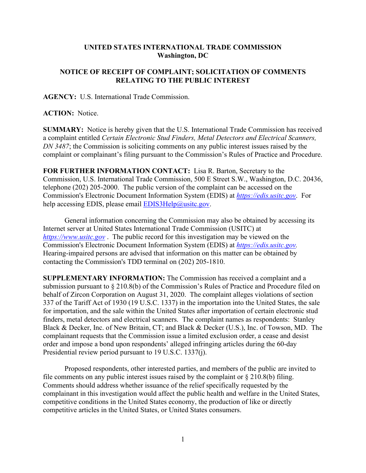## **UNITED STATES INTERNATIONAL TRADE COMMISSION Washington, DC**

## **NOTICE OF RECEIPT OF COMPLAINT; SOLICITATION OF COMMENTS RELATING TO THE PUBLIC INTEREST**

**AGENCY:** U.S. International Trade Commission.

**ACTION:** Notice.

**SUMMARY:** Notice is hereby given that the U.S. International Trade Commission has received a complaint entitled *Certain Electronic Stud Finders, Metal Detectors and Electrical Scanners, DN 3487*; the Commission is soliciting comments on any public interest issues raised by the complaint or complainant's filing pursuant to the Commission's Rules of Practice and Procedure.

**FOR FURTHER INFORMATION CONTACT:** Lisa R. Barton, Secretary to the Commission, U.S. International Trade Commission, 500 E Street S.W., Washington, D.C. 20436, telephone (202) 205-2000. The public version of the complaint can be accessed on the Commission's Electronic Document Information System (EDIS) at *[https://edis.usitc.gov](https://edis.usitc.gov/)*. For help accessing EDIS, please email [EDIS3Help@usitc.gov.](mailto:EDIS3Help@usitc.gov)

General information concerning the Commission may also be obtained by accessing its Internet server at United States International Trade Commission (USITC) at *[https://www.usitc.gov](https://www.usitc.gov/)* . The public record for this investigation may be viewed on the Commission's Electronic Document Information System (EDIS) at *[https://edis.usitc.gov.](https://edis.usitc.gov/)* Hearing-impaired persons are advised that information on this matter can be obtained by contacting the Commission's TDD terminal on (202) 205-1810.

**SUPPLEMENTARY INFORMATION:** The Commission has received a complaint and a submission pursuant to § 210.8(b) of the Commission's Rules of Practice and Procedure filed on behalf of Zircon Corporation on August 31, 2020. The complaint alleges violations of section 337 of the Tariff Act of 1930 (19 U.S.C. 1337) in the importation into the United States, the sale for importation, and the sale within the United States after importation of certain electronic stud finders, metal detectors and electrical scanners. The complaint names as respondents: Stanley Black & Decker, Inc. of New Britain, CT; and Black & Decker (U.S.), Inc. of Towson, MD. The complainant requests that the Commission issue a limited exclusion order, a cease and desist order and impose a bond upon respondents' alleged infringing articles during the 60-day Presidential review period pursuant to 19 U.S.C. 1337(j).

Proposed respondents, other interested parties, and members of the public are invited to file comments on any public interest issues raised by the complaint or  $\S 210.8(b)$  filing. Comments should address whether issuance of the relief specifically requested by the complainant in this investigation would affect the public health and welfare in the United States, competitive conditions in the United States economy, the production of like or directly competitive articles in the United States, or United States consumers.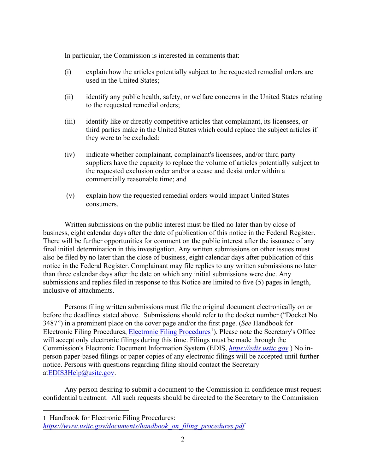In particular, the Commission is interested in comments that:

- (i) explain how the articles potentially subject to the requested remedial orders are used in the United States;
- (ii) identify any public health, safety, or welfare concerns in the United States relating to the requested remedial orders;
- (iii) identify like or directly competitive articles that complainant, its licensees, or third parties make in the United States which could replace the subject articles if they were to be excluded;
- (iv) indicate whether complainant, complainant's licensees, and/or third party suppliers have the capacity to replace the volume of articles potentially subject to the requested exclusion order and/or a cease and desist order within a commercially reasonable time; and
- (v) explain how the requested remedial orders would impact United States consumers.

Written submissions on the public interest must be filed no later than by close of business, eight calendar days after the date of publication of this notice in the Federal Register. There will be further opportunities for comment on the public interest after the issuance of any final initial determination in this investigation. Any written submissions on other issues must also be filed by no later than the close of business, eight calendar days after publication of this notice in the Federal Register. Complainant may file replies to any written submissions no later than three calendar days after the date on which any initial submissions were due. Any submissions and replies filed in response to this Notice are limited to five (5) pages in length, inclusive of attachments.

Persons filing written submissions must file the original document electronically on or before the deadlines stated above. Submissions should refer to the docket number ("Docket No. 3487") in a prominent place on the cover page and/or the first page. (*See* Handbook for Electronic Filing Procedures, [Electronic Filing Procedures](https://www.usitc.gov/documents/handbook_on_filing_procedures.pdf)<sup>[1](#page-1-0)</sup>). Please note the Secretary's Office will accept only electronic filings during this time. Filings must be made through the Commission's Electronic Document Information System (EDIS, *[https://edis.usitc.gov](https://edis.usitc.gov/)*.) No inperson paper-based filings or paper copies of any electronic filings will be accepted until further notice. Persons with questions regarding filing should contact the Secretary a[tEDIS3Help@usitc.gov.](mailto:EDIS3Help@usitc.gov)

Any person desiring to submit a document to the Commission in confidence must request confidential treatment. All such requests should be directed to the Secretary to the Commission

<span id="page-1-0"></span>1 Handbook for Electronic Filing Procedures:

*[https://www.usitc.gov/documents/handbook\\_on\\_filing\\_procedures.pdf](https://www.usitc.gov/documents/handbook_on_filing_procedures.pdf)*